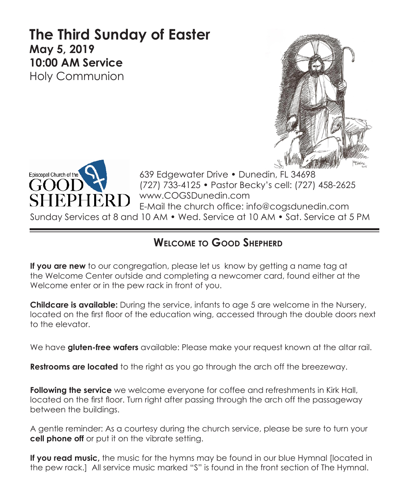# **The Third Sunday of Easter May 5, 2019 10:00 AM Service**  Holy Communion





639 Edgewater Drive • Dunedin, FL 34698 (727) 733-4125 • Pastor Becky's cell: (727) 458-2625 www.COGSDunedin.com E-Mail the church office: info@cogsdunedin.com

Sunday Services at 8 and 10 AM • Wed. Service at 10 AM • Sat. Service at 5 PM

## **Welcome to Good Shepherd**

**If you are new** to our congregation, please let us know by getting a name tag at the Welcome Center outside and completing a newcomer card, found either at the Welcome enter or in the pew rack in front of you.

**Childcare is available:** During the service, infants to age 5 are welcome in the Nursery, located on the first floor of the education wing, accessed through the double doors next to the elevator.

We have **gluten-free wafers** available: Please make your request known at the altar rail.

**Restrooms are located** to the right as you go through the arch off the breezeway.

**Following the service** we welcome everyone for coffee and refreshments in Kirk Hall, located on the first floor. Turn right after passing through the arch off the passageway between the buildings.

A gentle reminder: As a courtesy during the church service, please be sure to turn your **cell phone off** or put it on the vibrate setting.

**If you read music,** the music for the hymns may be found in our blue Hymnal [located in the pew rack.] All service music marked "S" is found in the front section of The Hymnal.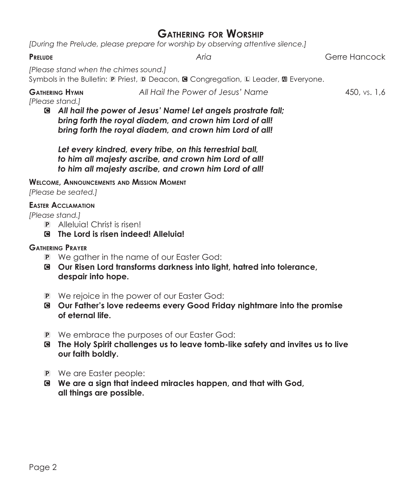## **Gathering for Worship**

*[During the Prelude, please prepare for worship by observing attentive silence.]*

**Prelude** *Aria* Gerre Hancock

*[Please stand when the chimes sound.]*

Symbols in the Bulletin: P Priest, D Deacon, @ Congregation, L Leader, @ Everyone.

**Gathering Hymn** *All Hail the Power of Jesus' Name* 450, vs. 1,6

*[Please stand.]*

C *All hail the power of Jesus' Name! Let angels prostrate fall; bring forth the royal diadem, and crown him Lord of all! bring forth the royal diadem, and crown him Lord of all!*

*Let every kindred, every tribe, on this terrestrial ball, to him all majesty ascribe, and crown him Lord of all! to him all majesty ascribe, and crown him Lord of all!*

**Welcome, Announcements and Mission Moment**

*[Please be seated.]*

## **Easter Acclamation**

*[Please stand.]*

- P Alleluia! Christ is risen!
- C **The Lord is risen indeed! Alleluia!**

## **Gathering Prayer**

- P We gather in the name of our Easter God:
- C **Our Risen Lord transforms darkness into light, hatred into tolerance, despair into hope.**
- P We rejoice in the power of our Easter God:
- C **Our Father's love redeems every Good Friday nightmare into the promise of eternal life.**
- P We embrace the purposes of our Easter God:
- C **The Holy Spirit challenges us to leave tomb-like safety and invites us to live our faith boldly.**
- P We are Easter people:
- C **We are a sign that indeed miracles happen, and that with God, all things are possible.**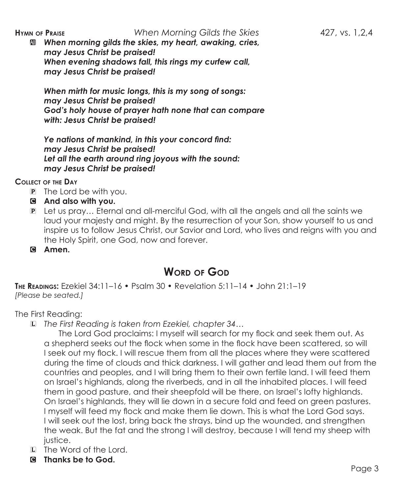## **Hymn of Praise** *When Morning Gilds the Skies* 427, vs. 1,2,4

a *When morning gilds the skies, my heart, awaking, cries, may Jesus Christ be praised! When evening shadows fall, this rings my curfew call, may Jesus Christ be praised!*

*When mirth for music longs, this is my song of songs: may Jesus Christ be praised! God's holy house of prayer hath none that can compare with: Jesus Christ be praised!*

*Ye nations of mankind, in this your concord find: may Jesus Christ be praised! Let all the earth around ring joyous with the sound: may Jesus Christ be praised!*

**Collect of the Day** 

- P The Lord be with you.
- C **And also with you.**
- P Let us pray… Eternal and all-merciful God, with all the angels and all the saints we laud your majesty and might. By the resurrection of your Son, show yourself to us and inspire us to follow Jesus Christ, our Savior and Lord, who lives and reigns with you and the Holy Spirit, one God, now and forever.

C **Amen.**

## **Word of God**

**The Readings:** Ezekiel 34:11–16 • Psalm 30 • Revelation 5:11–14 • John 21:1–19 *[Please be seated.]*

The First Reading:

L *The First Reading is taken from Ezekiel, chapter 34…*

 The Lord God proclaims: I myself will search for my flock and seek them out. As a shepherd seeks out the flock when some in the flock have been scattered, so will I seek out my flock. I will rescue them from all the places where they were scattered during the time of clouds and thick darkness. I will gather and lead them out from the countries and peoples, and I will bring them to their own fertile land. I will feed them on Israel's highlands, along the riverbeds, and in all the inhabited places. I will feed them in good pasture, and their sheepfold will be there, on Israel's lofty highlands. On Israel's highlands, they will lie down in a secure fold and feed on green pastures. I myself will feed my flock and make them lie down. This is what the Lord God says. I will seek out the lost, bring back the strays, bind up the wounded, and strengthen the weak. But the fat and the strong I will destroy, because I will tend my sheep with justice.

- L The Word of the Lord.
- C **Thanks be to God.**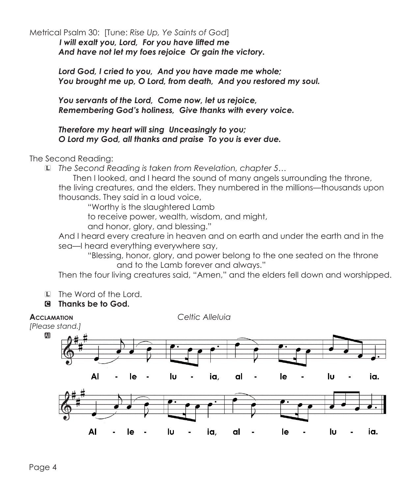Metrical Psalm 30: [Tune: *Rise Up, Ye Saints of God*] *I will exalt you, Lord, For you have lifted me And have not let my foes rejoice Or gain the victory.*

> *Lord God, I cried to you, And you have made me whole; You brought me up, O Lord, from death, And you restored my soul.*

*You servants of the Lord, Come now, let us rejoice, Remembering God's holiness, Give thanks with every voice.*

*Therefore my heart will sing Unceasingly to you; O Lord my God, all thanks and praise To you is ever due.*

The Second Reading:

L *The Second Reading is taken from Revelation, chapter 5…*

Then I looked, and I heard the sound of many angels surrounding the throne, the living creatures, and the elders. They numbered in the millions—thousands upon thousands. They said in a loud voice,

"Worthy is the slaughtered Lamb

to receive power, wealth, wisdom, and might,

and honor, glory, and blessing."

And I heard every creature in heaven and on earth and under the earth and in the sea—I heard everything everywhere say,

 "Blessing, honor, glory, and power belong to the one seated on the throne and to the Lamb forever and always."

Then the four living creatures said, "Amen," and the elders fell down and worshipped.

- L The Word of the Lord.
- C **Thanks be to God.**

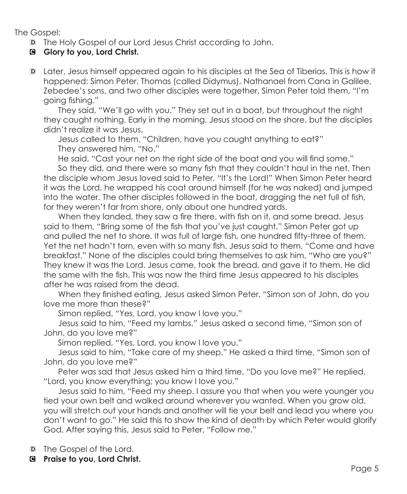The Gospel:

- D The Holy Gospel of our Lord Jesus Christ according to John.
- C **Glory to you, Lord Christ.**
- D Later, Jesus himself appeared again to his disciples at the Sea of Tiberias. This is how it happened: Simon Peter, Thomas (called Didymus), Nathanael from Cana in Galilee, Zebedee's sons, and two other disciples were together. Simon Peter told them, "I'm going fishing."

They said, "We'll go with you." They set out in a boat, but throughout the night they caught nothing. Early in the morning, Jesus stood on the shore, but the disciples didn't realize it was Jesus.

 Jesus called to them, "Children, have you caught anything to eat?" They answered him, "No."

He said, "Cast your net on the right side of the boat and you will find some."

So they did, and there were so many fish that they couldn't haul in the net. Then the disciple whom Jesus loved said to Peter, "It's the Lord!" When Simon Peter heard it was the Lord, he wrapped his coat around himself (for he was naked) and jumped into the water. The other disciples followed in the boat, dragging the net full of fish, for they weren't far from shore, only about one hundred yards.

When they landed, they saw a fire there, with fish on it, and some bread. Jesus said to them, "Bring some of the fish that you've just caught." Simon Peter got up and pulled the net to shore. It was full of large fish, one hundred fifty-three of them. Yet the net hadn't torn, even with so many fish. Jesus said to them, "Come and have breakfast." None of the disciples could bring themselves to ask him, "Who are you?" They knew it was the Lord. Jesus came, took the bread, and gave it to them. He did the same with the fish. This was now the third time Jesus appeared to his disciples after he was raised from the dead.

When they finished eating, Jesus asked Simon Peter, "Simon son of John, do you love me more than these?"

Simon replied, "Yes, Lord, you know I love you."

 Jesus said to him, "Feed my lambs." Jesus asked a second time, "Simon son of John, do you love me?"

Simon replied, "Yes, Lord, you know I love you."

Jesus said to him, "Take care of my sheep." He asked a third time, "Simon son of John, do you love me?"

 Peter was sad that Jesus asked him a third time, "Do you love me?" He replied, "Lord, you know everything; you know I love you."

Jesus said to him, "Feed my sheep. I assure you that when you were younger you tied your own belt and walked around wherever you wanted. When you grow old, you will stretch out your hands and another will tie your belt and lead you where you don't want to go." He said this to show the kind of death by which Peter would glorify God. After saying this, Jesus said to Peter, "Follow me."

D The Gospel of the Lord.

C **Praise to you, Lord Christ.**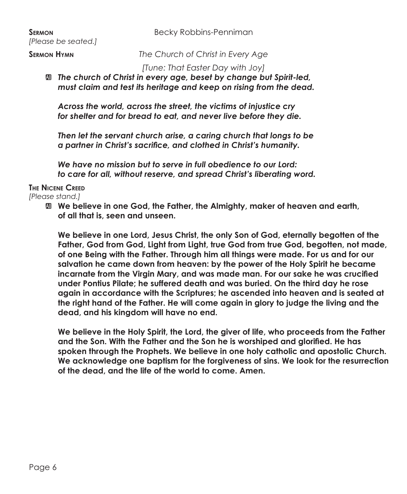## **Sermon Hymn** *The Church of Christ in Every Age*

*[Tune: That Easter Day with Joy]*

a *The church of Christ in every age, beset by change but Spirit-led, must claim and test its heritage and keep on rising from the dead.*

*Across the world, across the street, the victims of injustice cry for shelter and for bread to eat, and never live before they die.*

*Then let the servant church arise, a caring church that longs to be a partner in Christ's sacrifice, and clothed in Christ's humanity.*

*We have no mission but to serve in full obedience to our Lord: to care for all, without reserve, and spread Christ's liberating word.*

**The Nicene Creed**

*[Please stand.]*

a **We believe in one God, the Father, the Almighty, maker of heaven and earth, of all that is, seen and unseen.**

 **We believe in one Lord, Jesus Christ, the only Son of God, eternally begotten of the Father, God from God, Light from Light, true God from true God, begotten, not made, of one Being with the Father. Through him all things were made. For us and for our salvation he came down from heaven: by the power of the Holy Spirit he became incarnate from the Virgin Mary, and was made man. For our sake he was crucified under Pontius Pilate; he suffered death and was buried. On the third day he rose again in accordance with the Scriptures; he ascended into heaven and is seated at the right hand of the Father. He will come again in glory to judge the living and the dead, and his kingdom will have no end.**

 **We believe in the Holy Spirit, the Lord, the giver of life, who proceeds from the Father and the Son. With the Father and the Son he is worshiped and glorified. He has spoken through the Prophets. We believe in one holy catholic and apostolic Church. We acknowledge one baptism for the forgiveness of sins. We look for the resurrection of the dead, and the life of the world to come. Amen.**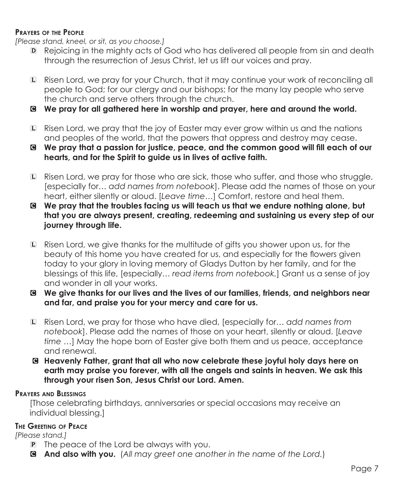## **Prayers of the People**

*[Please stand, kneel, or sit, as you choose.]*

- D Rejoicing in the mighty acts of God who has delivered all people from sin and death through the resurrection of Jesus Christ, let us lift our voices and pray.
- L Risen Lord, we pray for your Church, that it may continue your work of reconciling all people to God; for our clergy and our bishops; for the many lay people who serve the church and serve others through the church.
- C **We pray for all gathered here in worship and prayer, here and around the world.**
- L Risen Lord, we pray that the joy of Easter may ever grow within us and the nations and peoples of the world, that the powers that oppress and destroy may cease.
- C **We pray that a passion for justice, peace, and the common good will fill each of our hearts, and for the Spirit to guide us in lives of active faith.**
- L Risen Lord, we pray for those who are sick, those who suffer, and those who struggle, [especially for… *add names from notebook*]. Please add the names of those on your heart, either silently or aloud. [*Leave time…*] Comfort, restore and heal them.
- C **We pray that the troubles facing us will teach us that we endure nothing alone, but that you are always present, creating, redeeming and sustaining us every step of our journey through life.**
- L Risen Lord, we give thanks for the multitude of gifts you shower upon us, for the beauty of this home you have created for us, and especially for the flowers given today to your glory in loving memory of Gladys Dutton by her family, and for the blessings of this life, [especially… *read items from notebook.*] Grant us a sense of joy and wonder in all your works.
- C **We give thanks for our lives and the lives of our families, friends, and neighbors near and far, and praise you for your mercy and care for us.**
- L Risen Lord, we pray for those who have died, [especially for… *add names from notebook*]. Please add the names of those on your heart, silently or aloud. [*Leave time …*] May the hope born of Easter give both them and us peace, acceptance and renewal.
- C **Heavenly Father, grant that all who now celebrate these joyful holy days here on earth may praise you forever, with all the angels and saints in heaven. We ask this through your risen Son, Jesus Christ our Lord. Amen.**

## **Prayers and Blessings**

[Those celebrating birthdays, anniversaries or special occasions may receive an individual blessing.]

## **The Greeting of Peace**

*[Please stand.]*

- P The peace of the Lord be always with you.
- C **And also with you.** (*All may greet one another in the name of the Lord.*)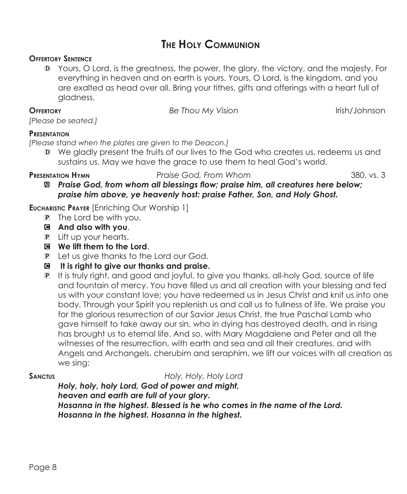## **The Holy Communion**

### **Offertory Sentence**

D Yours, O Lord, is the greatness, the power, the glory, the victory, and the majesty. For everything in heaven and on earth is yours. Yours, O Lord, is the kingdom, and you are exalted as head over all. Bring your tithes, gifts and offerings with a heart full of gladness.

**Offertory** *Be Thou My Vision* Irish/Johnson

*[Please be seated.]*

### **Presentation**

*[Please stand when the plates are given to the Deacon.]*

D We gladly present the fruits of our lives to the God who creates us, redeems us and sustains us. May we have the grace to use them to heal God's world.

**Presentation Hymn** *Praise God, From Whom* 380, vs. 3

a *Praise God, from whom all blessings flow; praise him, all creatures here below; praise him above, ye heavenly host: praise Father, Son, and Holy Ghost.*

**Eucharistic Prayer** [Enriching Our Worship 1]

- P The Lord be with you.
- C **And also with you**.
- P Lift up your hearts.
- C **We lift them to the Lord**.
- P Let us give thanks to the Lord our God.
- C **It is right to give our thanks and praise.**
- P It is truly right, and good and joyful, to give you thanks, all-holy God, source of life and fountain of mercy. You have filled us and all creation with your blessing and fed us with your constant love; you have redeemed us in Jesus Christ and knit us into one body. Through your Spirit you replenish us and call us to fullness of life. We praise you for the glorious resurrection of our Savior Jesus Christ, the true Paschal Lamb who gave himself to take away our sin, who in dying has destroyed death, and in rising has brought us to eternal life. And so, with Mary Magdalene and Peter and all the witnesses of the resurrection, with earth and sea and all their creatures, and with Angels and Archangels, cherubim and seraphim, we lift our voices with all creation as we sing:

**Sanctus** *Holy, Holy, Holy Lord*

*Holy, holy, holy Lord, God of power and might, heaven and earth are full of your glory. Hosanna in the highest. Blessed is he who comes in the name of the Lord. Hosanna in the highest. Hosanna in the highest.*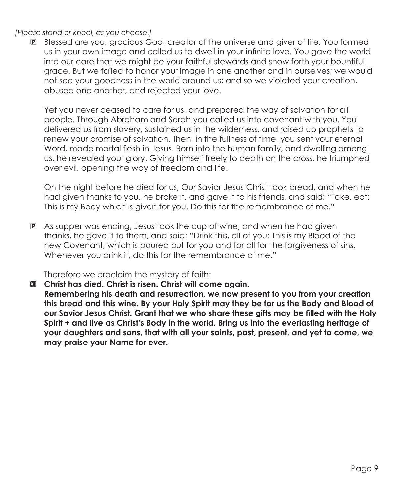*[Please stand or kneel, as you choose.]*

P Blessed are you, gracious God, creator of the universe and giver of life. You formed us in your own image and called us to dwell in your infinite love. You gave the world into our care that we might be your faithful stewards and show forth your bountiful grace. But we failed to honor your image in one another and in ourselves; we would not see your goodness in the world around us; and so we violated your creation, abused one another, and rejected your love.

 Yet you never ceased to care for us, and prepared the way of salvation for all people. Through Abraham and Sarah you called us into covenant with you. You delivered us from slavery, sustained us in the wilderness, and raised up prophets to renew your promise of salvation. Then, in the fullness of time, you sent your eternal Word, made mortal flesh in Jesus. Born into the human family, and dwelling among us, he revealed your glory. Giving himself freely to death on the cross, he triumphed over evil, opening the way of freedom and life.

 On the night before he died for us, Our Savior Jesus Christ took bread, and when he had given thanks to you, he broke it, and gave it to his friends, and said: "Take, eat: This is my Body which is given for you. Do this for the remembrance of me."

P As supper was ending, Jesus took the cup of wine, and when he had given thanks, he gave it to them, and said: "Drink this, all of you: This is my Blood of the new Covenant, which is poured out for you and for all for the forgiveness of sins. Whenever you drink it, do this for the remembrance of me."

Therefore we proclaim the mystery of faith:

 $\mathbf{u}$  Christ has died. Christ is risen. Christ will come again.  **Remembering his death and resurrection, we now present to you from your creation this bread and this wine. By your Holy Spirit may they be for us the Body and Blood of our Savior Jesus Christ. Grant that we who share these gifts may be filled with the Holy Spirit + and live as Christ's Body in the world. Bring us into the everlasting heritage of your daughters and sons, that with all your saints, past, present, and yet to come, we may praise your Name for ever.**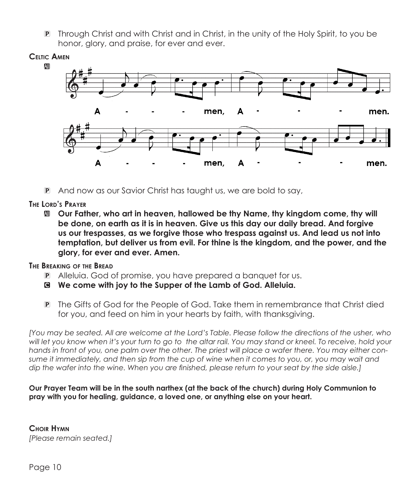P Through Christ and with Christ and in Christ, in the unity of the Holy Spirit, to you be honor, glory, and praise, for ever and ever.





P And now as our Savior Christ has taught us, we are bold to say,

**The Lord's Prayer**

 $\mathbf{u}$  **Our Father, who art in heaven, hallowed be thy Name, thy kingdom come, thy will be done, on earth as it is in heaven. Give us this day our daily bread. And forgive us our trespasses, as we forgive those who trespass against us. And lead us not into temptation, but deliver us from evil. For thine is the kingdom, and the power, and the glory, for ever and ever. Amen.**

**The Breaking of the Bread**

- P Alleluia. God of promise, you have prepared a banquet for us.
- C **We come with joy to the Supper of the Lamb of God. Alleluia.**
- P The Gifts of God for the People of God. Take them in remembrance that Christ died for you, and feed on him in your hearts by faith, with thanksgiving.

*[You may be seated. All are welcome at the Lord's Table. Please follow the directions of the usher, who*  will let you know when it's your turn to go to the altar rail. You may stand or kneel. To receive, hold your *hands in front of you, one palm over the other. The priest will place a wafer there. You may either consume it immediately, and then sip from the cup of wine when it comes to you, or, you may wait and dip the wafer into the wine. When you are finished, please return to your seat by the side aisle.]*

**Our Prayer Team will be in the south narthex (at the back of the church) during Holy Communion to pray with you for healing, guidance, a loved one, or anything else on your heart.** 

**Choir Hymn** *[Please remain seated.]*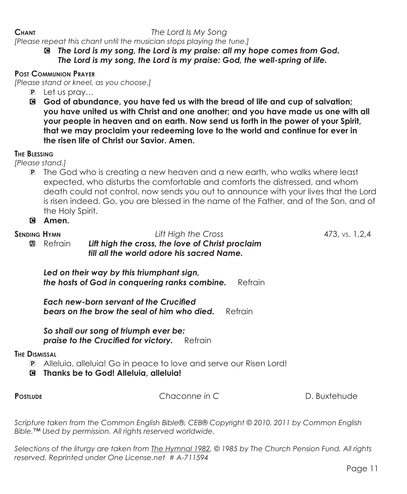**Chant** *The Lord Is My Song*

*[Please repeat this chant until the musician stops playing the tune.]*

## C *The Lord is my song, the Lord is my praise: all my hope comes from God. The Lord is my song, the Lord is my praise: God, the well-spring of life.*

## **Post Communion Prayer**

*[Please stand or kneel, as you choose.]*

- P Let us pray…
- C **God of abundance, you have fed us with the bread of life and cup of salvation; you have united us with Christ and one another; and you have made us one with all your people in heaven and on earth. Now send us forth in the power of your Spirit, that we may proclaim your redeeming love to the world and continue for ever in the risen life of Christ our Savior. Amen.**

### **The Blessing**

*[Please stand.]*

P The God who is creating a new heaven and a new earth, who walks where least expected, who disturbs the comfortable and comforts the distressed, and whom death could not control, now sends you out to announce with your lives that the Lord is risen indeed. Go, you are blessed in the name of the Father, and of the Son, and of the Holy Spirit.

### C **Amen.**

| <b>SENDING HYMN</b><br>AII                | Refrain                                                                                                                                                                                                                                                                                               | Lift High the Cross<br>Lift high the cross, the love of Christ proclaim<br>till all the world adore his sacred Name. | 473. vs. 1.2.4 |
|-------------------------------------------|-------------------------------------------------------------------------------------------------------------------------------------------------------------------------------------------------------------------------------------------------------------------------------------------------------|----------------------------------------------------------------------------------------------------------------------|----------------|
|                                           | Led on their way by this triumphant sign,<br>the hosts of God in conquering ranks combine.<br>Refrain<br>Each new-born servant of the Crucified<br>bears on the brow the seal of him who died.<br>Refrain<br>So shall our song of triumph ever be:<br>praise to the Crucified for victory.<br>Refrain |                                                                                                                      |                |
|                                           |                                                                                                                                                                                                                                                                                                       |                                                                                                                      |                |
|                                           |                                                                                                                                                                                                                                                                                                       |                                                                                                                      |                |
| <b>THE DISMISSAL</b><br>$\mathbf{P}$<br>a |                                                                                                                                                                                                                                                                                                       | Alleluia, alleluia! Go in peace to love and serve our Risen Lord!<br>Thanks be to God! Alleluia, alleluia!           |                |

| Scripture taken from the Common English Bible®, CEB® Copyright © 2010, 2011 by Common English |
|-----------------------------------------------------------------------------------------------|
| Bible. <sup>™</sup> Used by permission. All rights reserved worldwide.                        |

**Postupe Chaconne in C D. Buxtehude** 

*Selections of the liturgy are taken from The Hymnal 1982, © 1985 by The Church Pension Fund. All rights reserved. Reprinted under One License.net # A-711594*